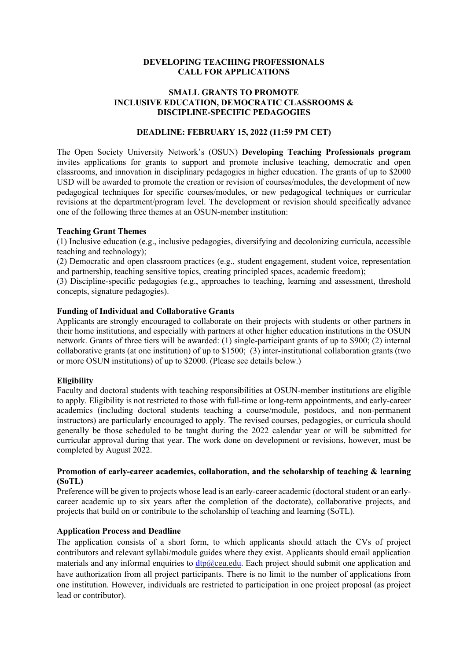## **DEVELOPING TEACHING PROFESSIONALS CALL FOR APPLICATIONS**

## **SMALL GRANTS TO PROMOTE INCLUSIVE EDUCATION, DEMOCRATIC CLASSROOMS & DISCIPLINE-SPECIFIC PEDAGOGIES**

### **DEADLINE: FEBRUARY 15, 2022 (11:59 PM CET)**

The Open Society University Network's (OSUN) **Developing Teaching Professionals program** invites applications for grants to support and promote inclusive teaching, democratic and open classrooms, and innovation in disciplinary pedagogies in higher education. The grants of up to \$2000 USD will be awarded to promote the creation or revision of courses/modules, the development of new pedagogical techniques for specific courses/modules, or new pedagogical techniques or curricular revisions at the department/program level. The development or revision should specifically advance one of the following three themes at an OSUN-member institution:

### **Teaching Grant Themes**

(1) Inclusive education (e.g., inclusive pedagogies, diversifying and decolonizing curricula, accessible teaching and technology);

(2) Democratic and open classroom practices (e.g., student engagement, student voice, representation and partnership, teaching sensitive topics, creating principled spaces, academic freedom);

(3) Discipline-specific pedagogies (e.g., approaches to teaching, learning and assessment, threshold concepts, signature pedagogies).

### **Funding of Individual and Collaborative Grants**

Applicants are strongly encouraged to collaborate on their projects with students or other partners in their home institutions, and especially with partners at other higher education institutions in the OSUN network. Grants of three tiers will be awarded: (1) single-participant grants of up to \$900; (2) internal collaborative grants (at one institution) of up to \$1500; (3) inter-institutional collaboration grants (two or more OSUN institutions) of up to \$2000. (Please see details below.)

### **Eligibility**

Faculty and doctoral students with teaching responsibilities at OSUN-member institutions are eligible to apply. Eligibility is not restricted to those with full-time or long-term appointments, and early-career academics (including doctoral students teaching a course/module, postdocs, and non-permanent instructors) are particularly encouraged to apply. The revised courses, pedagogies, or curricula should generally be those scheduled to be taught during the 2022 calendar year or will be submitted for curricular approval during that year. The work done on development or revisions, however, must be completed by August 2022.

### **Promotion of early-career academics, collaboration, and the scholarship of teaching & learning (SoTL)**

Preference will be given to projects whose lead is an early-career academic (doctoral student or an earlycareer academic up to six years after the completion of the doctorate), collaborative projects, and projects that build on or contribute to the scholarship of teaching and learning (SoTL).

### **Application Process and Deadline**

The application consists of a short form, to which applicants should attach the CVs of project contributors and relevant syllabi/module guides where they exist. Applicants should email application materials and any informal enquiries to  $\frac{dtp}{\omega}$ ceu.edu. Each project should submit one application and have authorization from all project participants. There is no limit to the number of applications from one institution. However, individuals are restricted to participation in one project proposal (as project lead or contributor).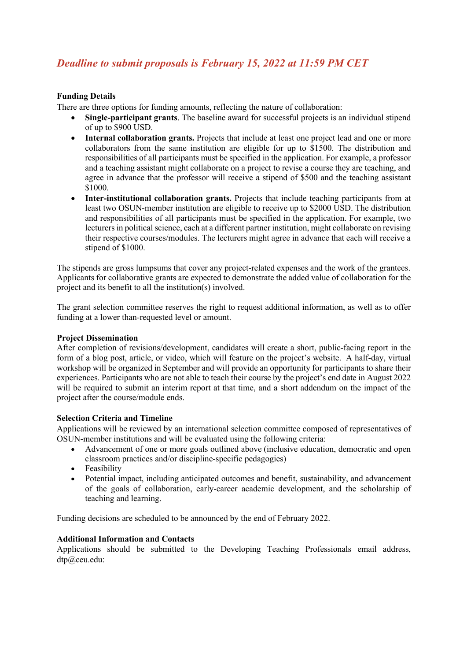# *Deadline to submit proposals is February 15, 2022 at 11:59 PM CET*

# **Funding Details**

There are three options for funding amounts, reflecting the nature of collaboration:

- **Single-participant grants**. The baseline award for successful projects is an individual stipend of up to \$900 USD.
- Internal collaboration grants. Projects that include at least one project lead and one or more collaborators from the same institution are eligible for up to \$1500. The distribution and responsibilities of all participants must be specified in the application. For example, a professor and a teaching assistant might collaborate on a project to revise a course they are teaching, and agree in advance that the professor will receive a stipend of \$500 and the teaching assistant \$1000.
- **Inter-institutional collaboration grants.** Projects that include teaching participants from at least two OSUN-member institution are eligible to receive up to \$2000 USD. The distribution and responsibilities of all participants must be specified in the application. For example, two lecturers in political science, each at a different partner institution, might collaborate on revising their respective courses/modules. The lecturers might agree in advance that each will receive a stipend of \$1000.

The stipends are gross lumpsums that cover any project-related expenses and the work of the grantees. Applicants for collaborative grants are expected to demonstrate the added value of collaboration for the project and its benefit to all the institution(s) involved.

The grant selection committee reserves the right to request additional information, as well as to offer funding at a lower than-requested level or amount.

### **Project Dissemination**

After completion of revisions/development, candidates will create a short, public-facing report in the form of a blog post, article, or video, which will feature on the project's website. A half-day, virtual workshop will be organized in September and will provide an opportunity for participants to share their experiences. Participants who are not able to teach their course by the project's end date in August 2022 will be required to submit an interim report at that time, and a short addendum on the impact of the project after the course/module ends.

### **Selection Criteria and Timeline**

Applications will be reviewed by an international selection committee composed of representatives of OSUN-member institutions and will be evaluated using the following criteria:

- Advancement of one or more goals outlined above (inclusive education, democratic and open classroom practices and/or discipline-specific pedagogies)
- Feasibility
- Potential impact, including anticipated outcomes and benefit, sustainability, and advancement of the goals of collaboration, early-career academic development, and the scholarship of teaching and learning.

Funding decisions are scheduled to be announced by the end of February 2022.

### **Additional Information and Contacts**

Applications should be submitted to the Developing Teaching Professionals email address, dtp@ceu.edu: